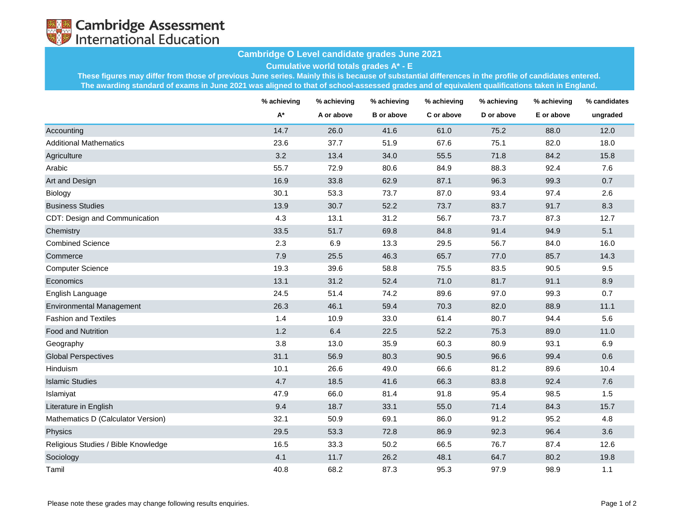

## **Cambridge O Level candidate grades June 2021**

**Cumulative world totals grades A\* - E**

**These figures may differ from those of previous June series. Mainly this is because of substantial differences in the profile of candidates entered. The awarding standard of exams in June 2021 was aligned to that of school-assessed grades and of equivalent qualifications taken in England.**

|                                     | % achieving | % achieving<br>A or above | % achieving<br><b>B</b> or above | % achieving<br>C or above | % achieving<br>D or above | % achieving<br>E or above | % candidates<br>ungraded |
|-------------------------------------|-------------|---------------------------|----------------------------------|---------------------------|---------------------------|---------------------------|--------------------------|
|                                     | A*          |                           |                                  |                           |                           |                           |                          |
| Accounting                          | 14.7        | 26.0                      | 41.6                             | 61.0                      | 75.2                      | 88.0                      | 12.0                     |
| <b>Additional Mathematics</b>       | 23.6        | 37.7                      | 51.9                             | 67.6                      | 75.1                      | 82.0                      | 18.0                     |
| Agriculture                         | 3.2         | 13.4                      | 34.0                             | 55.5                      | 71.8                      | 84.2                      | 15.8                     |
| Arabic                              | 55.7        | 72.9                      | 80.6                             | 84.9                      | 88.3                      | 92.4                      | 7.6                      |
| Art and Design                      | 16.9        | 33.8                      | 62.9                             | 87.1                      | 96.3                      | 99.3                      | 0.7                      |
| <b>Biology</b>                      | 30.1        | 53.3                      | 73.7                             | 87.0                      | 93.4                      | 97.4                      | 2.6                      |
| <b>Business Studies</b>             | 13.9        | 30.7                      | 52.2                             | 73.7                      | 83.7                      | 91.7                      | 8.3                      |
| CDT: Design and Communication       | 4.3         | 13.1                      | 31.2                             | 56.7                      | 73.7                      | 87.3                      | 12.7                     |
| Chemistry                           | 33.5        | 51.7                      | 69.8                             | 84.8                      | 91.4                      | 94.9                      | 5.1                      |
| <b>Combined Science</b>             | 2.3         | 6.9                       | 13.3                             | 29.5                      | 56.7                      | 84.0                      | 16.0                     |
| Commerce                            | 7.9         | 25.5                      | 46.3                             | 65.7                      | 77.0                      | 85.7                      | 14.3                     |
| <b>Computer Science</b>             | 19.3        | 39.6                      | 58.8                             | 75.5                      | 83.5                      | 90.5                      | 9.5                      |
| Economics                           | 13.1        | 31.2                      | 52.4                             | 71.0                      | 81.7                      | 91.1                      | 8.9                      |
| English Language                    | 24.5        | 51.4                      | 74.2                             | 89.6                      | 97.0                      | 99.3                      | 0.7                      |
| <b>Environmental Management</b>     | 26.3        | 46.1                      | 59.4                             | 70.3                      | 82.0                      | 88.9                      | 11.1                     |
| <b>Fashion and Textiles</b>         | 1.4         | 10.9                      | 33.0                             | 61.4                      | 80.7                      | 94.4                      | 5.6                      |
| <b>Food and Nutrition</b>           | 1.2         | 6.4                       | 22.5                             | 52.2                      | 75.3                      | 89.0                      | 11.0                     |
| Geography                           | 3.8         | 13.0                      | 35.9                             | 60.3                      | 80.9                      | 93.1                      | 6.9                      |
| <b>Global Perspectives</b>          | 31.1        | 56.9                      | 80.3                             | 90.5                      | 96.6                      | 99.4                      | 0.6                      |
| Hinduism                            | 10.1        | 26.6                      | 49.0                             | 66.6                      | 81.2                      | 89.6                      | 10.4                     |
| <b>Islamic Studies</b>              | 4.7         | 18.5                      | 41.6                             | 66.3                      | 83.8                      | 92.4                      | 7.6                      |
| Islamiyat                           | 47.9        | 66.0                      | 81.4                             | 91.8                      | 95.4                      | 98.5                      | 1.5                      |
| Literature in English               | 9.4         | 18.7                      | 33.1                             | 55.0                      | 71.4                      | 84.3                      | 15.7                     |
| Mathematics D (Calculator Version)  | 32.1        | 50.9                      | 69.1                             | 86.0                      | 91.2                      | 95.2                      | 4.8                      |
| Physics                             | 29.5        | 53.3                      | 72.8                             | 86.9                      | 92.3                      | 96.4                      | 3.6                      |
| Religious Studies / Bible Knowledge | 16.5        | 33.3                      | 50.2                             | 66.5                      | 76.7                      | 87.4                      | 12.6                     |
| Sociology                           | 4.1         | 11.7                      | 26.2                             | 48.1                      | 64.7                      | 80.2                      | 19.8                     |
| Tamil                               | 40.8        | 68.2                      | 87.3                             | 95.3                      | 97.9                      | 98.9                      | 1.1                      |